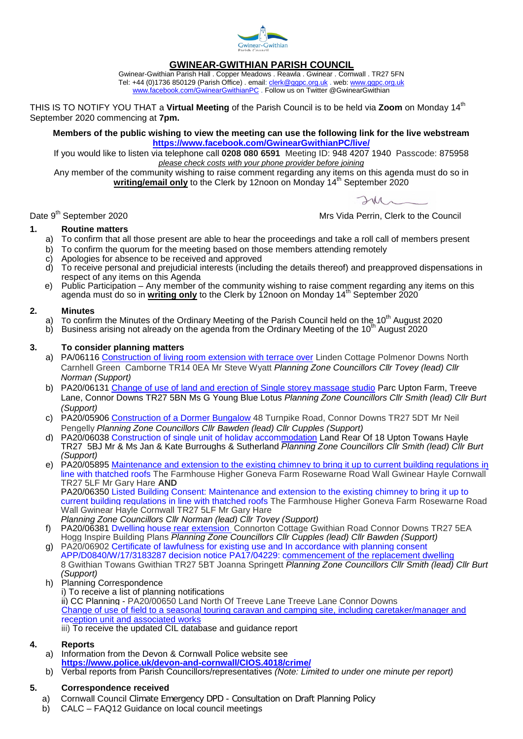

# **GWINEAR-GWITHIAN PARISH COUNCIL**

Gwinear-Gwithian Parish Hall . Copper Meadows . Reawla . Gwinear . Cornwall . TR27 5FN Tel: +44 (0)1736 850129 (Parish Office) . email: <u>clerk@ggpc.org.uk</u> . web: <u>[www.ggpc.org.uk](http://www.ggpc.org.uk/)</u> [www.facebook.com/GwinearGwithianPC](http://www.facebook.com/GwinearGwithianPC)</u> . Follow us on Twitter @GwinearGwithian

THIS IS TO NOTIFY YOU THAT a **Virtual Meeting** of the Parish Council is to be held via **Zoom** on Monday 14th September 2020 commencing at **7pm.**

**Members of the public wishing to view the meeting can use the following link for the live webstream <https://www.facebook.com/GwinearGwithianPC/live/>**

If you would like to listen via telephone call **0208 080 6591** Meeting ID: 948 4207 1940 Passcode: 875958 *please check costs with your phone provider before joining*

Any member of the community wishing to raise comment regarding any items on this agenda must do so in **writing/email only** to the Clerk by 12noon on Monday 14th September 2020

 $2\mu$ 

Date 9<sup>th</sup> September 2020 **Mrs** Vida Perrin, Clerk to the Council

## **1. Routine matters**

- a) To confirm that all those present are able to hear the proceedings and take a roll call of members present
- b) To confirm the quorum for the meeting based on those members attending remotely
- c) Apologies for absence to be received and approved
- d) To receive personal and prejudicial interests (including the details thereof) and preapproved dispensations in respect of any items on this Agenda
- e) Public Participation Any member of the community wishing to raise comment regarding any items on this agenda must do so in **writing only** to the Clerk by 12noon on Monday 14th September 2020

## **2. Minutes**

- a) To confirm the Minutes of the Ordinary Meeting of the Parish Council held on the 10<sup>th</sup> August 2020
- b) Business arising not already on the agenda from the Ordinary Meeting of the 10<sup>th</sup> August 2020

## **3. To consider planning matters**

- a) PA/06116 [Construction of living room extension with terrace over](http://planning.cornwall.gov.uk/online-applications/applicationDetails.do?activeTab=summary&keyVal=QDVCALFG1ST00) Linden Cottage Polmenor Downs North Carnhell Green Camborne TR14 0EA Mr Steve Wyatt *Planning Zone Councillors Cllr Tovey (lead) Cllr Norman (Support)*
- b) PA20/06131 [Change of use of land and erection of Single storey massage studio](http://planning.cornwall.gov.uk/online-applications/applicationDetails.do?keyVal=QDVQ1MFGJ7500&activeTab=summary) Parc Upton Farm, Treeve Lane, Connor Downs TR27 5BN Ms G Young Blue Lotus *Planning Zone Councillors Cllr Smith (lead) Cllr Burt (Support)*
- c) PA20/05906 [Construction of a Dormer Bungalow](http://planning.cornwall.gov.uk/online-applications/centralDistribution.do?caseType=Application&keyVal=QDII1VFG0GE00) 48 Turnpike Road, Connor Downs TR27 5DT Mr Neil Pengelly *Planning Zone Councillors Cllr Bawden (lead) Cllr Cupples (Support)*
- d) PA20/06038 [Construction of single unit of holiday accommodation](http://planning.cornwall.gov.uk/online-applications/applicationDetails.do?activeTab=documents&keyVal=QDRHOIFG1VO00) Land Rear Of 18 Upton Towans Hayle TR27 5BJ Mr & Ms Jan & Kate Burroughs & Sutherland *Planning Zone Councillors Cllr Smith (lead) Cllr Burt (Support)*
- e) PA20/05895 Maintenance and extension to the existing chimney to bring it up to current building regulations in [line with thatched roofs](http://planning.cornwall.gov.uk/online-applications/centralDistribution.do?caseType=Application&keyVal=QDICPTFG1OU00) The Farmhouse Higher Goneva Farm Rosewarne Road Wall Gwinear Hayle Cornwall TR27 5LF Mr Gary Hare **AND**

PA20/06350 [Listed Building Consent: Maintenance and extension to the existing chimney to bring it up to](http://planning.cornwall.gov.uk/online-applications/centralDistribution.do?caseType=Application&keyVal=QE8FPMFG00R00)  [current building regulations in line with thatched roofs](http://planning.cornwall.gov.uk/online-applications/centralDistribution.do?caseType=Application&keyVal=QE8FPMFG00R00) The Farmhouse Higher Goneva Farm Rosewarne Road Wall Gwinear Hayle Cornwall TR27 5LF Mr Gary Hare

- *Planning Zone Councillors Cllr Norman (lead) Cllr Tovey (Support)*
- f) PA20/06381 [Dwelling house rear extension](http://planning.cornwall.gov.uk/online-applications/applicationDetails.do?keyVal=QE9WZWFGJ3300&activeTab=summary) Connorton Cottage Gwithian Road Connor Downs TR27 5EA Hogg Inspire Building Plans *Planning Zone Councillors Cllr Cupples (lead) Cllr Bawden (Support)*
- g) PA20/06902 [Certificate of lawfulness for existing use and In accordance with planning consent](http://planning.cornwall.gov.uk/online-applications/applicationDetails.do?activeTab=documents&keyVal=QF3P94FGJJN0)  [APP/D0840/W/17/3183287 decision notice PA17/04229: commencement of the replacement dwelling](http://planning.cornwall.gov.uk/online-applications/applicationDetails.do?activeTab=documents&keyVal=QF3P94FGJJN0) 8 Gwithian Towans Gwithian TR27 5BT Joanna Springett *Planning Zone Councillors Cllr Smith (lead) Cllr Burt (Support)*
- h) Planning Correspondence i) To receive a list of planning notifications ii) CC Planning - PA20/00650 Land North Of Treeve Lane Treeve Lane Connor Downs [Change of use of field to a seasonal touring caravan and camping site,](http://planning.cornwall.gov.uk/online-applications/simpleSearchResults.do?action=firstPage) including caretaker/manager and [reception unit and associated works](http://planning.cornwall.gov.uk/online-applications/simpleSearchResults.do?action=firstPage) iii) To receive the updated CIL database and guidance report

#### **4. Reports**

- a) Information from the Devon & Cornwall Police website see **<https://www.police.uk/devon-and-cornwall/CIOS.4018/crime/>**
- b) Verbal reports from Parish Councillors/representatives *(Note: Limited to under one minute per report)*

## **5. Correspondence received**

- a) Cornwall Council Climate Emergency DPD Consultation on Draft Planning Policy
- b) CALC FAQ12 Guidance on local council meetings